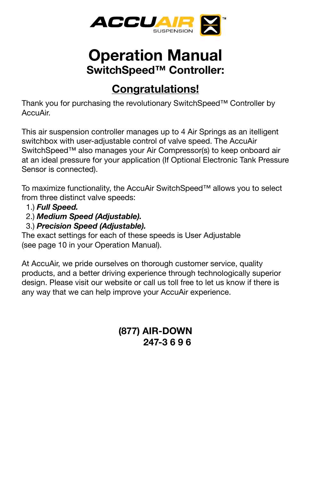

# **Operation Manual SwitchSpeed™ Controller:**

# **Congratulations!**

Thank you for purchasing the revolutionary SwitchSpeed™ Controller by AccuAir.

This air suspension controller manages up to 4 Air Springs as an itelligent switchbox with user-adjustable control of valve speed. The AccuAir SwitchSpeed™ also manages your Air Compressor(s) to keep onboard air at an ideal pressure for your application (If Optional Electronic Tank Pressure Sensor is connected).

To maximize functionality, the AccuAir SwitchSpeed™ allows you to select from three distinct valve speeds:

- 1.) *Full Speed.*
- 2.) *Medium Speed (Adjustable).*
- 3.) *Precision Speed (Adjustable).*

The exact settings for each of these speeds is User Adjustable (see page 10 in your Operation Manual).

At AccuAir, we pride ourselves on thorough customer service, quality products, and a better driving experience through technologically superior design. Please visit our website or call us toll free to let us know if there is any way that we can help improve your AccuAir experience.

### **(877) AIR-DOWN 247-3 6 9 6**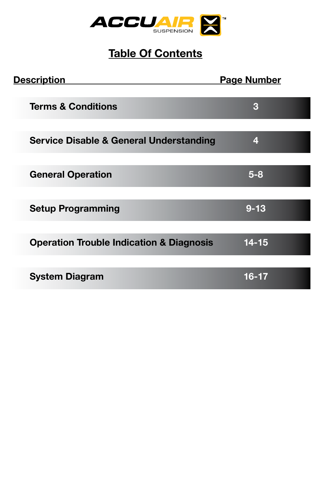

# **Table Of Contents**

| <b>Description</b>                                  | <b>Page Number</b> |
|-----------------------------------------------------|--------------------|
| <b>Terms &amp; Conditions</b>                       | 3                  |
| <b>Service Disable &amp; General Understanding</b>  | $\overline{\bf 4}$ |
| <b>General Operation</b>                            | $5 - 8$            |
| <b>Setup Programming</b>                            | $9 - 13$           |
| <b>Operation Trouble Indication &amp; Diagnosis</b> | $14 - 15$          |
| <b>System Diagram</b>                               | $16 - 17$          |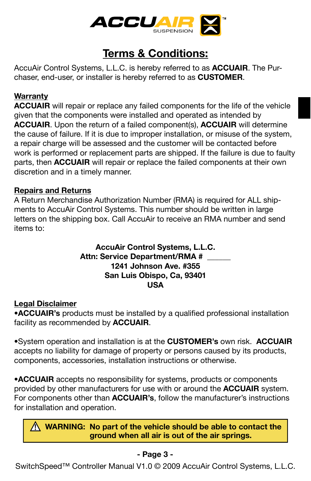

## **Terms & Conditions:**

AccuAir Control Systems, L.L.C. is hereby referred to as **ACCUAIR**. The Purchaser, end-user, or installer is hereby referred to as **CUSTOMER**.

### **Warranty**

**ACCUAIR** will repair or replace any failed components for the life of the vehicle given that the components were installed and operated as intended by **ACCUAIR**. Upon the return of a failed component(s), **ACCUAIR** will determine the cause of failure. If it is due to improper installation, or misuse of the system, a repair charge will be assessed and the customer will be contacted before work is performed or replacement parts are shipped. If the failure is due to faulty parts, then **ACCUAIR** will repair or replace the failed components at their own discretion and in a timely manner.

#### **Repairs and Returns**

A Return Merchandise Authorization Number (RMA) is required for ALL shipments to AccuAir Control Systems. This number should be written in large letters on the shipping box. Call AccuAir to receive an RMA number and send items to:

#### **AccuAir Control Systems, L.L.C. Attn: Service Department/RMA # 1241 Johnson Ave. #355 San Luis Obispo, Ca, 93401 USA**

#### **Legal Disclaimer**

**•ACCUAIR's** products must be installed by a qualified professional installation facility as recommended by **ACCUAIR**.

**•**System operation and installation is at the **CUSTOMER's** own risk. **ACCUAIR** accepts no liability for damage of property or persons caused by its products, components, accessories, installation instructions or otherwise.

**•ACCUAIR** accepts no responsibility for systems, products or components provided by other manufacturers for use with or around the **ACCUAIR** system. For components other than **ACCUAIR's**, follow the manufacturer's instructions for installation and operation.

**WARNING: No part of the vehicle should be able to contact the ground when all air is out of the air springs.**

### **- Page 3 -**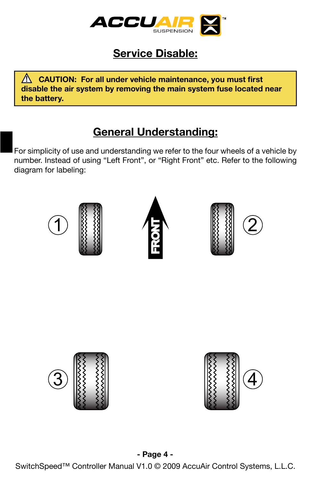

## **Service Disable:**

 **CAUTION: For all under vehicle maintenance, you must first ! disable the air system by removing the main system fuse located near the battery.**

## **General Understanding:**

For simplicity of use and understanding we refer to the four wheels of a vehicle by number. Instead of using "Left Front", or "Right Front" etc. Refer to the following diagram for labeling:

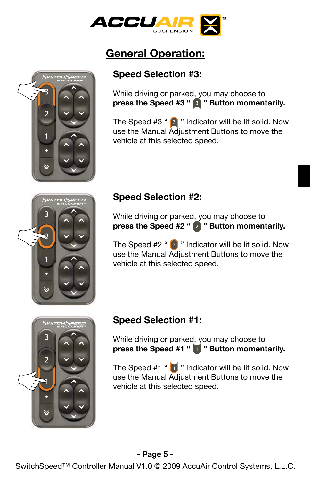

### **Speed Selection #3:**

While driving or parked, you may choose to press the Speed #3 " <sup>3</sup> " Button momentarily.

The Speed  $#3$  "  $\boxed{3}$  " Indicator will be lit solid. Now use the Manual Adjustment Buttons to move the vehicle at this selected speed.



2

### **Speed Selection #2:**

While driving or parked, you may choose to press the Speed #2 " 2 " Button momentarily.

The Speed  $#2$  "  $[2]$  " Indicator will be lit solid. Now use the Manual Adjustment Buttons to move the vehicle at this selected speed.



### **Speed Selection #1:**

While driving or parked, you may choose to **press the Speed #1 " " Button momentarily.**

The Speed  $#1$  "  $\blacksquare$ " Indicator will be lit solid. Now use the Manual Adjustment Buttons to move the vehicle at this selected speed.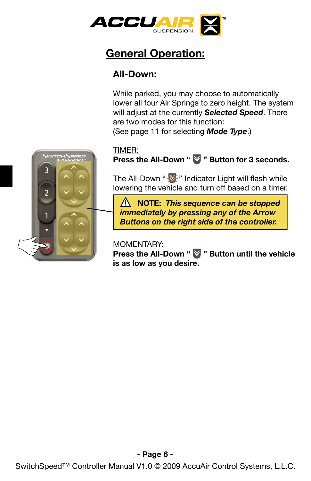

### **All-Down:**

While parked, you may choose to automatically lower all four Air Springs to zero height. The system will adjust at the currently *Selected Speed*. There are two modes for this function: (See page 11 for selecting *Mode Type*.)

#### TIMER:

**Press the All-Down "**  $\blacktriangledown$  **" Button for 3 seconds.** 

The All-Down " $\frac{1}{2}$ " Indicator Light will flash while lowering the vehicle and turn off based on a timer.

 **NOTE: !** *This sequence can be stopped immediately by pressing any of the Arrow Buttons on the right side of the controller.*

#### MOMENTARY:

**Press the All-Down "**  $\blacktriangledown$  **" Button until the vehicle is as low as you desire.** 

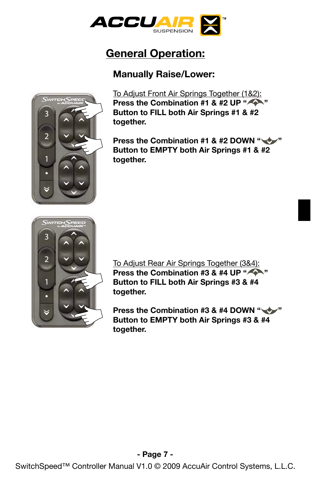

### **Manually Raise/Lower:**



To Adjust Front Air Springs Together (1&2): **Press the Combination #1 & #2 UP " Button to FILL both Air Springs #1 & #2 together.** 

**Press the Combination #1 & #2 DOWN "WW" Button to EMPTY both Air Springs #1 & #2 together.**



To Adjust Rear Air Springs Together (3&4): **Press the Combination #3 & #4 UP " Button to FILL both Air Springs #3 & #4 together.** 

**Press the Combination #3 & #4 DOWN " Button to EMPTY both Air Springs #3 & #4 together.**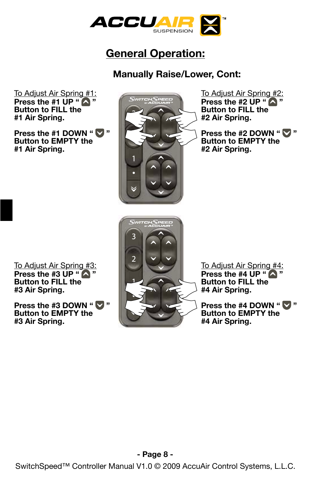

### **Manually Raise/Lower, Cont:**

To Adjust Air Spring #1: **Press the #1 UP " A" Button to FILL the #1 Air Spring.**

**Press the #1 DOWN " Button to EMPTY the #1 Air Spring.**



To Adjust Air Spring #2: **Press the #2 UP " A " Button to FILL the #2 Air Spring.**

**Press the #2 DOWN "**  $\vee$  **" Button to EMPTY the #2 Air Spring.**

To Adjust Air Spring #3: **Press the #3 UP "**  $\bigwedge$  **" Button to FILL the #3 Air Spring.**

**Press the #3 DOWN "**  $\vee$ **Button to EMPTY the #3 Air Spring.**



To Adjust Air Spring #4: **Press the #4 UP " A " Button to FILL the #4 Air Spring.**

**Press the #4 DOWN "**  $\bullet$  " **Button to EMPTY the #4 Air Spring.**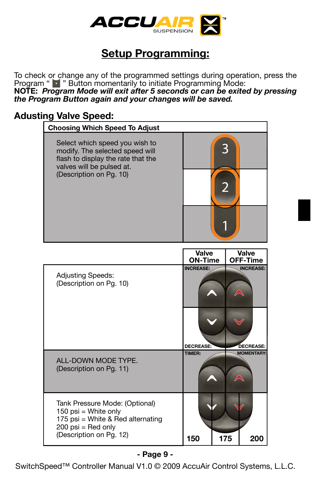

To check or change any of the programmed settings during operation, press the Program " " Button momentarily to initiate Programming Mode:

**NOTE:** *Program Mode will exit after 5 seconds or can be exited by pressing the Program Button again and your changes will be saved.* 

### **Adusting Valve Speed:**

| <b>Choosing Which Speed To Adjust</b>                                                                                                |                  |                  |
|--------------------------------------------------------------------------------------------------------------------------------------|------------------|------------------|
| Select which speed you wish to<br>modify. The selected speed will<br>flash to display the rate that the<br>valves will be pulsed at. | 3                |                  |
| (Description on Pg. 10)                                                                                                              |                  |                  |
|                                                                                                                                      |                  |                  |
|                                                                                                                                      | Valve            | Valve            |
|                                                                                                                                      | <b>ON-Time</b>   | <b>OFF-Time</b>  |
| <b>Adjusting Speeds:</b><br>(Description on Pg. 10)                                                                                  | <b>INCREASE:</b> | <b>INCREASE:</b> |

| <b>Adjusting Speeds:</b><br>(Description on Pg. 10)                                                                                            | <b>INCREASE:</b> |     | <b>INCREASE:</b>  |
|------------------------------------------------------------------------------------------------------------------------------------------------|------------------|-----|-------------------|
|                                                                                                                                                | DECREASE:        |     | <b>DECREASE:</b>  |
|                                                                                                                                                | <b>TIMER:</b>    |     | <b>MOMENTARY:</b> |
| ALL-DOWN MODE TYPE.<br>(Description on Pg. 11)                                                                                                 |                  |     |                   |
| Tank Pressure Mode: (Optional)<br>150 psi = White only<br>175 psi = White & Red alternating<br>$200$ psi = Red only<br>(Description on Pg. 12) |                  |     |                   |
|                                                                                                                                                | 150              | 175 | 200               |

#### **- Page 9 -**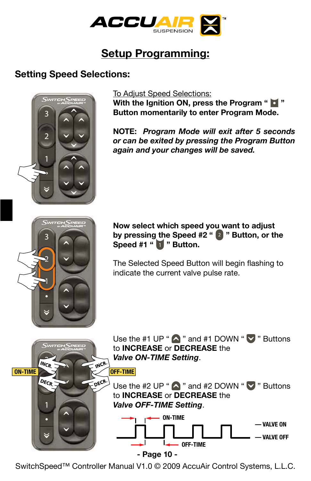

### **Setting Speed Selections:**



#### To Adjust Speed Selections:

**With the Ignition ON, press the Program "**  $\bullet$  **" Button momentarily to enter Program Mode.** 

**NOTE:** *Program Mode will exit after 5 seconds or can be exited by pressing the Program Button again and your changes will be saved.* 

#### **Now select which speed you want to adjust by pressing the Speed #2 " " Button, or the**  Speed #1 " **Button.**

The Selected Speed Button will begin flashing to indicate the current valve pulse rate.

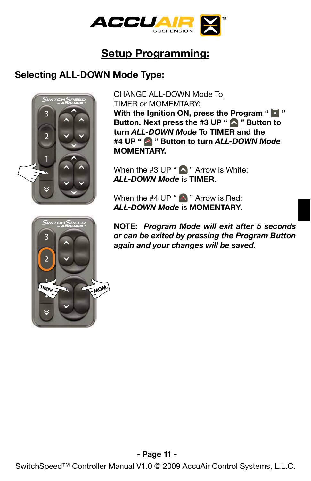

### **Selecting ALL-DOWN Mode Type:**



CHANGE ALL-DOWN Mode To TIMER or MOMEMTARY: **With the Ignition ON, press the Program "**  $\bullet$  **"** 

**Button. Next press the #3 UP " @ " Button to turn** *ALL-DOWN Mode* **To TIMER and the #4 UP " " Button to turn** *ALL-DOWN Mode* **MOMENTARY.**

When the #3 UP " $\bigwedge$  " Arrow is White: *ALL-DOWN Mode* is **TIMER**.

When the #4 UP " $\bigwedge$  " Arrow is Red: *ALL-DOWN Mode* is **MOMENTARY**.

**NOTE:** *Program Mode will exit after 5 seconds or can be exited by pressing the Program Button again and your changes will be saved.*

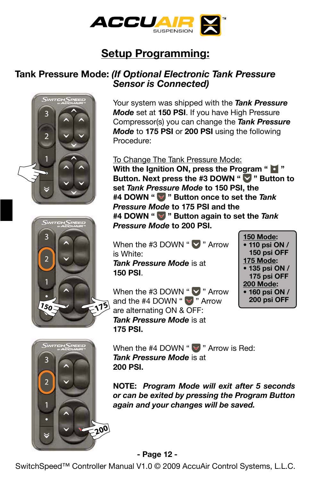

### **Tank Pressure Mode:** *(If Optional Electronic Tank Pressure Sensor is Connected)*







Your system was shipped with the *Tank Pressure Mode* set at **150 PSI**. If you have High Pressure Compressor(s) you can change the *Tank Pressure Mode* to **175 PSI** or **200 PSI** using the following Procedure:

To Change The Tank Pressure Mode: **With the Ignition ON, press the Program " d" Button. Next press the #3 DOWN " " Button to set** *Tank Pressure Mode* **to 150 PSI, the #4 DOWN " " Button once to set the** *Tank Pressure Mode* **to 175 PSI and the #4 DOWN " " Button again to set the** *Tank Pressure Mode* **to 200 PSI.**

When the #3 DOWN " $\blacktriangledown$  " Arrow is White: *Tank Pressure Mode* is at **150 PSI**.

**150 Mode: • 110 psi ON / 150 psi OFF 175 Mode: • 135 psi ON / 175 psi OFF 200 Mode: • 160 psi ON / 200 psi OFF**

When the #3 DOWN " $\blacktriangledown$  " Arrow and the #4 DOWN " $\blacktriangledown$ " Arrow are alternating ON & OFF: *Tank Pressure Mode* is at **175 PSI.** 

When the #4 DOWN " $\blacktriangledown$ " Arrow is Red: *Tank Pressure Mode* is at **200 PSI.** 

**NOTE:** *Program Mode will exit after 5 seconds or can be exited by pressing the Program Button again and your changes will be saved.*

#### **- Page 12 -**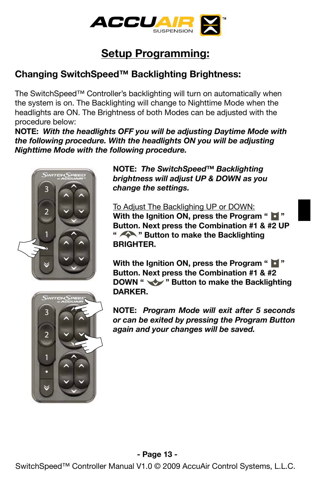

### **Changing SwitchSpeed™ Backlighting Brightness:**

The SwitchSpeed™ Controller's backlighting will turn on automatically when the system is on. The Backlighting will change to Nighttime Mode when the headlights are ON. The Brightness of both Modes can be adjusted with the procedure below:

**NOTE:** *With the headlights OFF you will be adjusting Daytime Mode with the following procedure. With the headlights ON you will be adjusting Nighttime Mode with the following procedure.* 





To Adjust The Backlighing UP or DOWN: **With the Ignition ON, press the Program " Button. Next press the Combination #1 & #2 UP " " Button to make the Backlighting BRIGHTER.** 

**With the Ignition ON, press the Program " Button. Next press the Combination #1 & #2 DOWN "** " Button to make the Backlighting **DARKER.** 

**NOTE:** *Program Mode will exit after 5 seconds or can be exited by pressing the Program Button again and your changes will be saved.* 

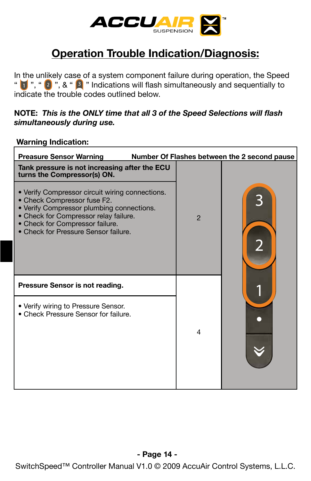

## **Operation Trouble Indication/Diagnosis:**

In the unlikely case of a system component failure during operation, the Speed "  $\boxed{1}$ ", "  $\boxed{2}$  ", & "  $\boxed{3}$  " Indications will flash simultaneously and sequentially to indicate the trouble codes outlined below.

#### **NOTE:** *This is the ONLY time that all 3 of the Speed Selections will flash simultaneously during use.*

**Warning Indication:**

| <b>Preasure Sensor Warning</b>                                                                                                                                                                                                                  |                | Number Of Flashes between the 2 second pause |
|-------------------------------------------------------------------------------------------------------------------------------------------------------------------------------------------------------------------------------------------------|----------------|----------------------------------------------|
| Tank pressure is not increasing after the ECU<br>turns the Compressor(s) ON.                                                                                                                                                                    |                |                                              |
| • Verify Compressor circuit wiring connections.<br>• Check Compressor fuse F2.<br>• Verify Compressor plumbing connections.<br>• Check for Compressor relay failure.<br>• Check for Compressor failure.<br>• Check for Pressure Sensor failure. | $\overline{2}$ |                                              |
| Pressure Sensor is not reading.                                                                                                                                                                                                                 |                |                                              |
| • Verify wiring to Pressure Sensor.<br>• Check Pressure Sensor for failure.                                                                                                                                                                     | 4              |                                              |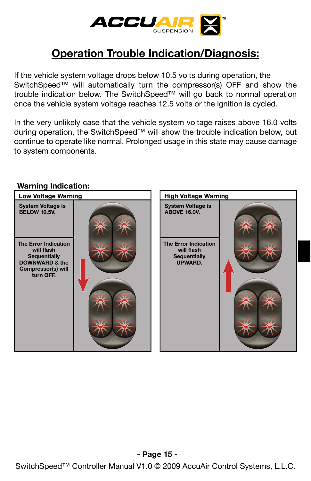

## **Operation Trouble Indication/Diagnosis:**

If the vehicle system voltage drops below 10.5 volts during operation, the SwitchSpeed™ will automatically turn the compressor(s) OFF and show the trouble indication below. The SwitchSpeed™ will go back to normal operation once the vehicle system voltage reaches 12.5 volts or the ignition is cycled.

In the very unlikely case that the vehicle system voltage raises above 16.0 volts during operation, the SwitchSpeed™ will show the trouble indication below, but continue to operate like normal. Prolonged usage in this state may cause damage to system components.

### **High Voltage Warning System Voltage is ABOVE 16.0V. The Error Indication will flash Sequentially UPWARD. Warning Indication: Low Voltage Warning System Voltage is BELOW 10.5V. The Error Indication will flash Sequentially DOWNWARD & the Compressor(s) will turn OFF.**